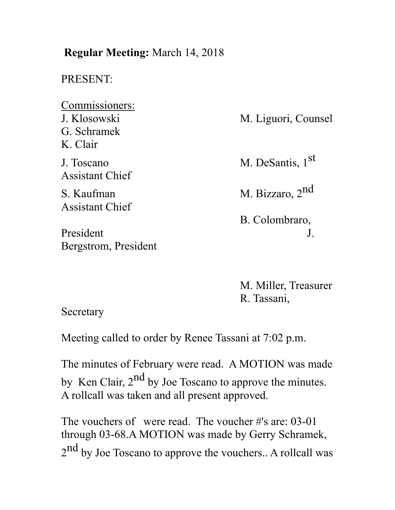# **Regular Meeting:** March 14, 2018 PRESENT: Commissioners: J. Klosowski M. Liguori, Counsel G. Schramek K. Clair J. Toscano M. DeSantis, 1st Assistant Chief S. Kaufman M. Bizzaro, 2<sup>nd</sup> Assistant Chief B. Colombraro, President J. Bergstrom, President

M. Miller, Treasurer R. Tassani,

**Secretary** 

Meeting called to order by Renee Tassani at 7:02 p.m.

The minutes of February were read. A MOTION was made by Ken Clair,  $2<sup>nd</sup>$  by Joe Toscano to approve the minutes. A rollcall was taken and all present approved.

The vouchers of were read. The voucher #'s are: 03-01 through 03-68.A MOTION was made by Gerry Schramek, 2<sup>nd</sup> by Joe Toscano to approve the vouchers.. A rollcall was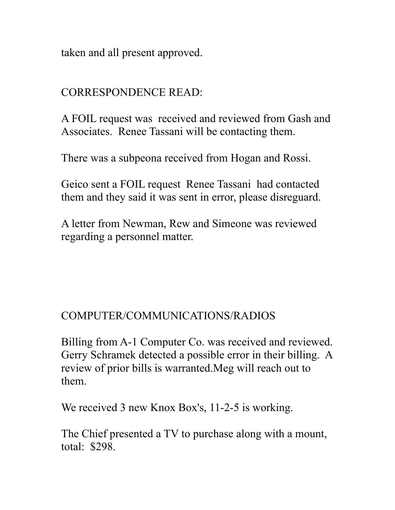taken and all present approved.

## CORRESPONDENCE READ:

A FOIL request was received and reviewed from Gash and Associates. Renee Tassani will be contacting them.

There was a subpeona received from Hogan and Rossi.

Geico sent a FOIL request Renee Tassani had contacted them and they said it was sent in error, please disreguard.

A letter from Newman, Rew and Simeone was reviewed regarding a personnel matter.

### COMPUTER/COMMUNICATIONS/RADIOS

Billing from A-1 Computer Co. was received and reviewed. Gerry Schramek detected a possible error in their billing. A review of prior bills is warranted.Meg will reach out to them.

We received 3 new Knox Box's, 11-2-5 is working.

The Chief presented a TV to purchase along with a mount, total: \$298.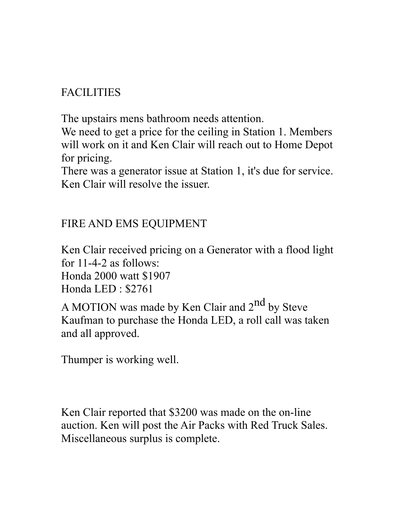# FACILITIES

The upstairs mens bathroom needs attention.

We need to get a price for the ceiling in Station 1. Members will work on it and Ken Clair will reach out to Home Depot for pricing.

There was a generator issue at Station 1, it's due for service. Ken Clair will resolve the issuer.

## FIRE AND EMS EQUIPMENT

Ken Clair received pricing on a Generator with a flood light for 11-4-2 as follows: Honda 2000 watt \$1907 Honda LED : \$2761

A MOTION was made by Ken Clair and  $2<sup>nd</sup>$  by Steve Kaufman to purchase the Honda LED, a roll call was taken and all approved.

Thumper is working well.

Ken Clair reported that \$3200 was made on the on-line auction. Ken will post the Air Packs with Red Truck Sales. Miscellaneous surplus is complete.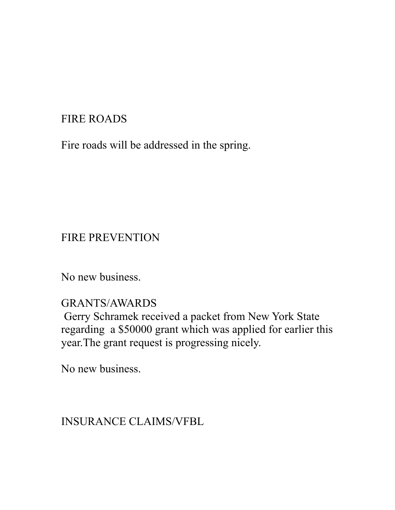## FIRE ROADS

Fire roads will be addressed in the spring.

## FIRE PREVENTION

No new business.

GRANTS/AWARDS

 Gerry Schramek received a packet from New York State regarding a \$50000 grant which was applied for earlier this year.The grant request is progressing nicely.

No new business.

INSURANCE CLAIMS/VFBL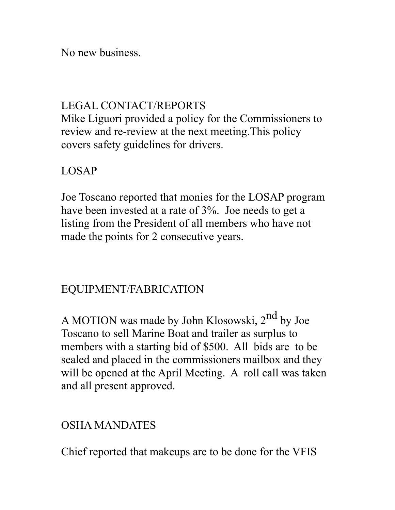No new business.

### LEGAL CONTACT/REPORTS

Mike Liguori provided a policy for the Commissioners to review and re-review at the next meeting.This policy covers safety guidelines for drivers.

### LOSAP

Joe Toscano reported that monies for the LOSAP program have been invested at a rate of 3%. Joe needs to get a listing from the President of all members who have not made the points for 2 consecutive years.

### EQUIPMENT/FABRICATION

A MOTION was made by John Klosowski, 2<sup>nd</sup> by Joe Toscano to sell Marine Boat and trailer as surplus to members with a starting bid of \$500. All bids are to be sealed and placed in the commissioners mailbox and they will be opened at the April Meeting. A roll call was taken and all present approved.

#### OSHA MANDATES

Chief reported that makeups are to be done for the VFIS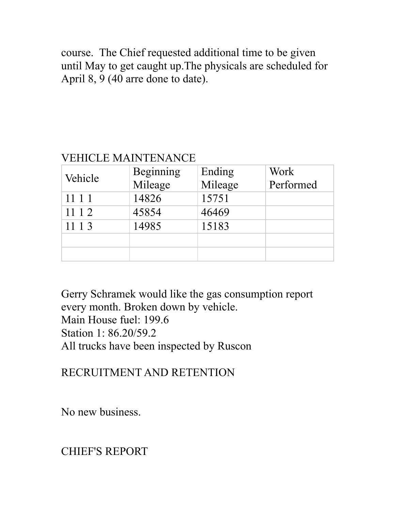course. The Chief requested additional time to be given until May to get caught up.The physicals are scheduled for April 8, 9 (40 arre done to date).

### VEHICLE MAINTENANCE

| Vehicle | Beginning<br>Mileage | Ending<br>Mileage | Work<br>Performed |
|---------|----------------------|-------------------|-------------------|
| 1111    | 14826                | 15751             |                   |
| 11 1 2  | 45854                | 46469             |                   |
| 1113    | 14985                | 15183             |                   |
|         |                      |                   |                   |
|         |                      |                   |                   |

Gerry Schramek would like the gas consumption report every month. Broken down by vehicle. Main House fuel: 199.6 Station 1: 86.20/59.2 All trucks have been inspected by Ruscon

RECRUITMENT AND RETENTION

No new business.

CHIEF'S REPORT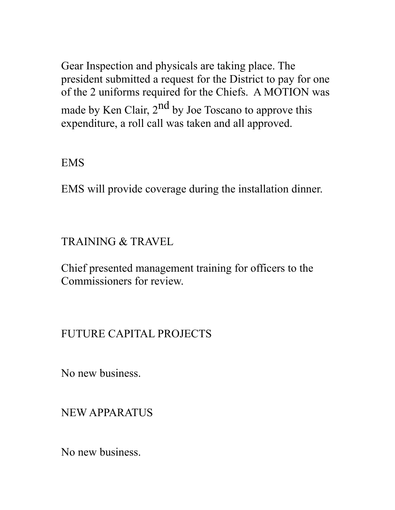Gear Inspection and physicals are taking place. The president submitted a request for the District to pay for one of the 2 uniforms required for the Chiefs. A MOTION was made by Ken Clair,  $2^{nd}$  by Joe Toscano to approve this expenditure, a roll call was taken and all approved.

EMS

EMS will provide coverage during the installation dinner.

TRAINING & TRAVEL

Chief presented management training for officers to the Commissioners for review.

#### FUTURE CAPITAL PROJECTS

No new business.

NEW APPARATUS

No new business.